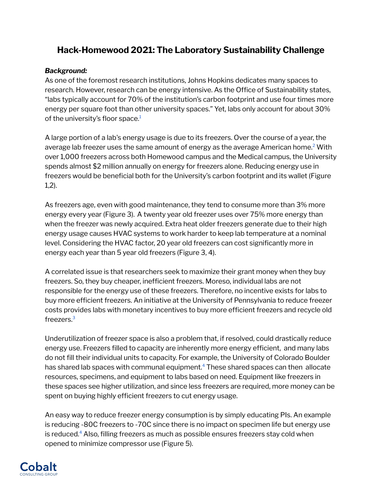# **Hack-Homewood 2021: The Laboratory Sustainability Challenge**

## *Background:*

As one of the foremost research institutions, Johns Hopkins dedicates many spaces to research. However, research can be energy intensive. As the Office of Sustainability states, "labs typically account for 70% of the institution's carbon footprint and use four times more energy per square foot than other university spaces." Yet, labs only account for about 30% of the university's floor space.<sup>[1](https://sustainability.jhu.edu/initiatives/buildings-infrastructure-initiative/)</sup>

A large portion of a lab's energy usage is due to its freezers. Over the course of a year, the average lab freezer uses the same amount of energy as the average American home. [2](https://www.energy.gov/eere/femp/purchasing-energy-efficient-laboratory-grade-refrigerators-and-freezers) With over 1,000 freezers across both Homewood campus and the Medical campus, the University spends almost \$2 million annually on energy for freezers alone. Reducing energy use in freezers would be beneficial both for the University's carbon footprint and its wallet (Figure 1,2).

As freezers age, even with good maintenance, they tend to consume more than 3% more energy every year (Figure 3). A twenty year old freezer uses over 75% more energy than when the freezer was newly acquired. Extra heat older freezers generate due to their high energy usage causes HVAC systems to work harder to keep lab temperature at a nominal level. Considering the HVAC factor, 20 year old freezers can cost significantly more in energy each year than 5 year old freezers (Figure 3, 4).

A correlated issue is that researchers seek to maximize their grant money when they buy freezers. So, they buy cheaper, inefficient freezers. Moreso, individual labs are not responsible for the energy use of these freezers. Therefore, no incentive exists for labs to buy more efficient freezers. An initiative at the University of Pennsylvania to reduce freezer costs provides labs with monetary incentives to buy more efficient freezers and recycle old freezers. [3](https://sustainability.upenn.edu/sites/default/files/FRES%20ULT%20Freezer%20Infomation%2011%2030%202018_0.pdf)

Underutilization of freezer space is also a problem that, if resolved, could drastically reduce energy use. Freezers filled to capacity are inherently more energy efficient, and many labs do not fill their individual units to capacity. For example, the University of Colorado Boulder has shared lab spaces with communal equipment. [4](https://www.colorado.edu/ecenter/sites/default/files/attached-files/ucr_ult_tests_report_-_2016_final_df1.pdf) These shared spaces can then allocate resources, specimens, and equipment to labs based on need. Equipment like freezers in these spaces see higher utilization, and since less freezers are required, more money can be spent on buying highly efficient freezers to cut energy usage.

An easy way to reduce freezer energy consumption is by simply educating PIs. An example is reducing -80C freezers to -70C since there is no impact on specimen life but energy use is reduced. [4](https://sustainable.stanford.edu/sites/default/files/ChillUpFreezer1.24.pdf) Also, filling freezers as much as possible ensures freezers stay cold when opened to minimize compressor use (Figure 5).

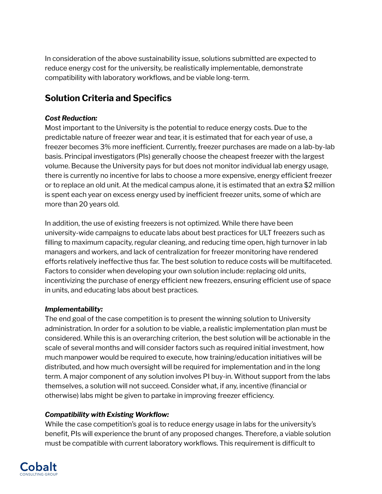In consideration of the above sustainability issue, solutions submitted are expected to reduce energy cost for the university, be realistically implementable, demonstrate compatibility with laboratory workflows, and be viable long-term.

# **Solution Criteria and Specifics**

## *Cost Reduction:*

Most important to the University is the potential to reduce energy costs. Due to the predictable nature of freezer wear and tear, it is estimated that for each year of use, a freezer becomes 3% more inefficient. Currently, freezer purchases are made on a lab-by-lab basis. Principal investigators (PIs) generally choose the cheapest freezer with the largest volume. Because the University pays for but does not monitor individual lab energy usage, there is currently no incentive for labs to choose a more expensive, energy efficient freezer or to replace an old unit. At the medical campus alone, it is estimated that an extra \$2 million is spent each year on excess energy used by inefficient freezer units, some of which are more than 20 years old.

In addition, the use of existing freezers is not optimized. While there have been university-wide campaigns to educate labs about best practices for ULT freezers such as filling to maximum capacity, regular cleaning, and reducing time open, high turnover in lab managers and workers, and lack of centralization for freezer monitoring have rendered efforts relatively ineffective thus far. The best solution to reduce costs will be multifaceted. Factors to consider when developing your own solution include: replacing old units, incentivizing the purchase of energy efficient new freezers, ensuring efficient use of space in units, and educating labs about best practices.

## *Implementability:*

The end goal of the case competition is to present the winning solution to University administration. In order for a solution to be viable, a realistic implementation plan must be considered. While this is an overarching criterion, the best solution will be actionable in the scale of several months and will consider factors such as required initial investment, how much manpower would be required to execute, how training/education initiatives will be distributed, and how much oversight will be required for implementation and in the long term. A major component of any solution involves PI buy-in. Without support from the labs themselves, a solution will not succeed. Consider what, if any, incentive (financial or otherwise) labs might be given to partake in improving freezer efficiency.

## *Compatibility with Existing Workflow:*

While the case competition's goal is to reduce energy usage in labs for the university's benefit, PIs will experience the brunt of any proposed changes. Therefore, a viable solution must be compatible with current laboratory workflows. This requirement is difficult to

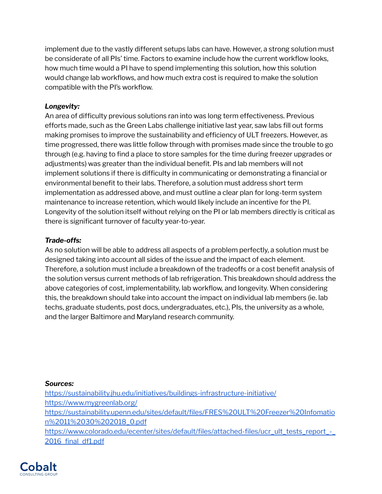implement due to the vastly different setups labs can have. However, a strong solution must be considerate of all PIs' time. Factors to examine include how the current workflow looks, how much time would a PI have to spend implementing this solution, how this solution would change lab workflows, and how much extra cost is required to make the solution compatible with the PI's workflow.

## *Longevity:*

An area of difficulty previous solutions ran into was long term effectiveness. Previous efforts made, such as the Green Labs challenge initiative last year, saw labs fill out forms making promises to improve the sustainability and efficiency of ULT freezers. However, as time progressed, there was little follow through with promises made since the trouble to go through (e.g. having to find a place to store samples for the time during freezer upgrades or adjustments) was greater than the individual benefit. PIs and lab members will not implement solutions if there is difficulty in communicating or demonstrating a financial or environmental benefit to their labs. Therefore, a solution must address short term implementation as addressed above, and must outline a clear plan for long-term system maintenance to increase retention, which would likely include an incentive for the PI. Longevity of the solution itself without relying on the PI or lab members directly is critical as there is significant turnover of faculty year-to-year.

## *Trade-offs:*

As no solution will be able to address all aspects of a problem perfectly, a solution must be designed taking into account all sides of the issue and the impact of each element. Therefore, a solution must include a breakdown of the tradeoffs or a cost benefit analysis of the solution versus current methods of lab refrigeration. This breakdown should address the above categories of cost, implementability, lab workflow, and longevity. When considering this, the breakdown should take into account the impact on individual lab members (ie. lab techs, graduate students, post docs, undergraduates, etc.), PIs, the university as a whole, and the larger Baltimore and Maryland research community.

#### *Sources:*

<https://sustainability.jhu.edu/initiatives/buildings-infrastructure-initiative/> <https://www.mygreenlab.org/> [https://sustainability.upenn.edu/sites/default/files/FRES%20ULT%20Freezer%20Infomatio](https://sustainability.upenn.edu/sites/default/files/FRES%20ULT%20Freezer%20Infomation%2011%2030%202018_0.pdf) [n%2011%2030%202018\\_0.pdf](https://sustainability.upenn.edu/sites/default/files/FRES%20ULT%20Freezer%20Infomation%2011%2030%202018_0.pdf) [https://www.colorado.edu/ecenter/sites/default/files/attached-files/ucr\\_ult\\_tests\\_report\\_-\\_](https://www.colorado.edu/ecenter/sites/default/files/attached-files/ucr_ult_tests_report_-_2016_final_df1.pdf) [2016\\_final\\_df1.pdf](https://www.colorado.edu/ecenter/sites/default/files/attached-files/ucr_ult_tests_report_-_2016_final_df1.pdf)

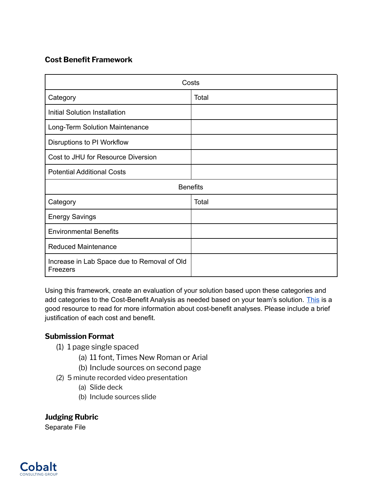## **Cost Benefit Framework**

|                                                         | Costs           |
|---------------------------------------------------------|-----------------|
| Category                                                | Total           |
| <b>Initial Solution Installation</b>                    |                 |
| Long-Term Solution Maintenance                          |                 |
| Disruptions to PI Workflow                              |                 |
| Cost to JHU for Resource Diversion                      |                 |
| <b>Potential Additional Costs</b>                       |                 |
|                                                         | <b>Benefits</b> |
| Category                                                | Total           |
| <b>Energy Savings</b>                                   |                 |
| <b>Environmental Benefits</b>                           |                 |
| <b>Reduced Maintenance</b>                              |                 |
| Increase in Lab Space due to Removal of Old<br>Freezers |                 |

Using this framework, create an evaluation of your solution based upon these categories and add categories to the Cost-Benefit Analysis as needed based on your team's solution. [This](https://www.smartsheet.com/expert-guide-cost-benefit-analysis#:~:text=A%20cost%20benefit%20analysis%20(also,subtracting%20the%20costs%20from%20benefits.) is a good resource to read for more information about cost-benefit analyses. Please include a brief justification of each cost and benefit.

## **Submission Format**

- (1) 1 page single spaced
	- (a) 11 font, Times New Roman or Arial
	- (b) Include sources on second page
- (2) 5 minute recorded video presentation
	- (a) Slide deck
	- (b) Include sources slide

**Judging Rubric** Separate File

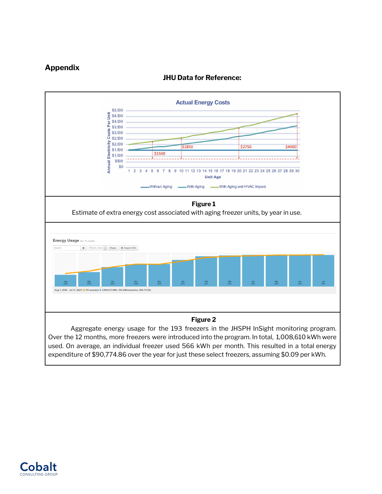## **Appendix**



### **JHU Data for Reference:**

Over the 12 months, more freezers were introduced into the program. In total, 1,008,610 kWh were used. On average, an individual freezer used 566 kWh per month. This resulted in a total energy expenditure of \$90,774.86 over the year for just these select freezers, assuming \$0.09 per kWh.

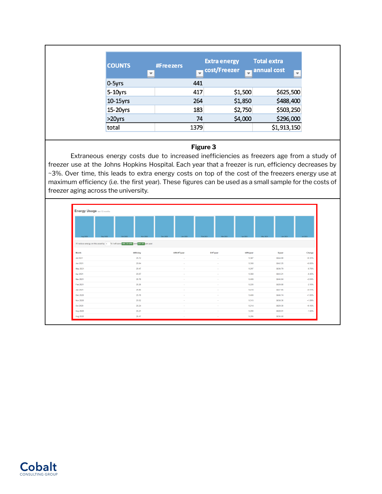| <b>COUNTS</b> | <b>#Freezers</b> |      | <b>Extra energy</b><br>cost/Freezer | <b>Total extra</b><br>annual cost |
|---------------|------------------|------|-------------------------------------|-----------------------------------|
|               | ▼                |      |                                     | $\overline{\phantom{a}}$          |
| $0 - 5yrs$    |                  | 441  |                                     |                                   |
| $5 - 10$ yrs  |                  | 417  | \$1,500                             | \$625,500                         |
| 10-15yrs      |                  | 264  | \$1,850                             | \$488,400                         |
| 15-20yrs      |                  | 183  | \$2,750                             | \$503,250                         |
| $>20$ yrs     |                  | 74   | \$4,000                             | \$296,000                         |
| total         |                  | 1379 |                                     | \$1,913,150                       |

#### **Figure 3**

Extraneous energy costs due to increased inefficiencies as freezers age from a study of freezer use at the Johns Hopkins Hospital. Each year that a freezer is run, efficiency decreases by ~3%. Over time, this leads to extra energy costs on top of the cost of the freezers energy use at maximum efficiency (i.e. the first year). These figures can be used as a small sample for the costs of freezer aging across the university.

| Aug 2020<br>Sep 2020 | Oct 2020<br>Nov 2020                                                                 | Dec 2020<br>Jan 2021      | Mar 2021<br>Feb 2021    | May 2021<br>Apr 2021 | Jun 2021 | Jul 2021 |
|----------------------|--------------------------------------------------------------------------------------|---------------------------|-------------------------|----------------------|----------|----------|
|                      | If I reduce energy on this asset by 5 % I will save 466.28 kWh and \$41.97 per year. |                           |                         |                      |          |          |
|                      |                                                                                      |                           |                         |                      |          |          |
| Month                | kWh/day                                                                              | kWh/ft <sup>3</sup> /year | S/ft <sup>3</sup> /year | kWh/year             | Siyear   | Change   |
| <b>Jul 2021</b>      | 25.72                                                                                | ×.                        | $\sim$                  | 9,387                | \$844.88 | $+0.31%$ |
| Jun 2021             | 25.64                                                                                | $\sim$                    | ×.                      | 9,358                | \$842.25 | $+0.65%$ |
| May 2021             | 25.47                                                                                | $\sim$                    |                         | 9,297                | \$836.79 | $-0.76%$ |
| Apr 2021             | 25.67                                                                                | $\sim$                    | <b>.</b>                | 9,368                | \$843.21 | $-0.43%$ |
| <b>Mar 2021</b>      | 25.78                                                                                | ×.                        |                         | 9,409                | \$846.84 | $+2.04%$ |
|                      | 25.26                                                                                | ×                         |                         | 9,220                | \$829.88 | $-2.10%$ |
| Feb 2021             |                                                                                      |                           |                         |                      |          | $+0.11%$ |
| Jan 2021             | 25.80                                                                                | $\sim$                    | . .                     | 9,418                | \$847.65 |          |
| Dec 2020             | 25.78                                                                                | ÷                         |                         | 9,408                | \$846.74 | $+1.00%$ |
| Nov 2020             | 25.52                                                                                | <b>A</b>                  | <b>1979</b>             | 9,315                | \$838.36 | $+1.09%$ |
| Oct 2020             | 25.24                                                                                | ×.                        | $\sim$                  | 9,214                | \$829.30 | $+0.16%$ |

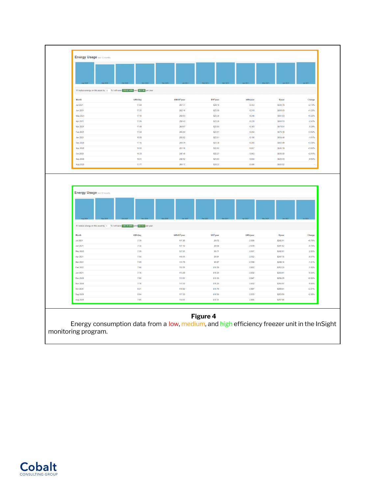|                                                | If I reduce energy on this asset by 5 % I will save 310.62 kWh and \$27.96 per year. |                                     |                                   |                   |                      |                                                                                                                                |
|------------------------------------------------|--------------------------------------------------------------------------------------|-------------------------------------|-----------------------------------|-------------------|----------------------|--------------------------------------------------------------------------------------------------------------------------------|
|                                                |                                                                                      |                                     |                                   |                   |                      |                                                                                                                                |
| Month                                          | kWh/day                                                                              | kWh/ft <sup>3</sup> /year           | S/ft <sup>3</sup> /year           | kWh/year          | Siyear               | Change                                                                                                                         |
| <b>Jul 2021</b><br><b>Jun 2021</b>             | 17.68<br>17.31                                                                       | 267.77<br>262.16                    | \$24.10<br>\$23.59                | 6,453<br>6,318    | \$580.79<br>\$568.63 | $+2.14%$<br>$+1.25%$                                                                                                           |
| May 2021                                       | 17.10                                                                                | 258.93                              | \$23.30                           | 6,240             | \$561.63             | $+0.20%$                                                                                                                       |
| Apr 2021                                       | 17.06                                                                                | 258.43                              | \$23.26                           | 6,228             | \$560.53             | $-2.43%$                                                                                                                       |
| Mar 2021                                       | 17.49                                                                                | 264.87                              | \$23.84                           | 6,383             | \$574.51             | $-0.29%$                                                                                                                       |
| Feb 2021                                       | 17.54                                                                                | 265.64                              | \$23.91                           | 6,402             | \$576.18             | $+3.92%$                                                                                                                       |
| Jan 2021                                       | 16.88                                                                                | 255.62                              | \$23.01                           | 6,160             | \$554.44             | $-1.61%$                                                                                                                       |
| Dec 2020                                       | 17.15                                                                                | 259.79                              | \$23.38                           | 6,260             | \$563.49             | +3.36%                                                                                                                         |
| Nov 2020                                       | 16.60                                                                                | 251.36                              | \$22.62                           | 6,057             | \$545.19             | $+1.60%$                                                                                                                       |
| Oct 2020                                       | 16.33                                                                                | 247.40                              | \$22.27                           | 5,962             | \$536.60             | $+2.01%$                                                                                                                       |
| Sep 2020                                       | 16.01                                                                                | 242.52                              | \$21.83                           | 5,844             | \$526.03             | -9.90%                                                                                                                         |
|                                                |                                                                                      | 269.17                              | \$24.22                           | 6,486             | \$583.82             |                                                                                                                                |
| Aug 2020<br><b>Energy Usage last 12 months</b> | 17.77                                                                                |                                     |                                   |                   |                      |                                                                                                                                |
|                                                |                                                                                      |                                     |                                   |                   |                      |                                                                                                                                |
|                                                |                                                                                      |                                     |                                   |                   |                      |                                                                                                                                |
|                                                |                                                                                      |                                     |                                   |                   |                      |                                                                                                                                |
|                                                | If I reduce energy on this asset by 5 % I will save 140.39 kWh and \$12.63 per year. |                                     |                                   |                   |                      |                                                                                                                                |
| Month                                          |                                                                                      |                                     |                                   |                   |                      |                                                                                                                                |
| <b>Jul 2021</b>                                | kWh/day<br>7.39                                                                      | kWh/ft <sup>3</sup> /year<br>107.96 | S/ft <sup>3</sup> /year<br>\$9.72 | kWh/year<br>2,699 | Siyear<br>\$242.91   |                                                                                                                                |
| Jun 2021                                       | 7.34                                                                                 | 107.12                              | \$9.64                            | 2,678             | \$241.02             |                                                                                                                                |
| <b>May 2021</b>                                | 7.39                                                                                 | 107.91                              | \$9.71                            | 2,697             | \$242.81             |                                                                                                                                |
| Apr 2021                                       | 7.54                                                                                 | 110.11                              | \$9.91                            | 2,752             | \$247.76             |                                                                                                                                |
| Mar 2021                                       | 7.59                                                                                 | 110.75                              | \$9.97                            | 2,768             | \$249.18             |                                                                                                                                |
| Feb 2021                                       | 7.68                                                                                 | 112.11                              | \$10.09                           | 2,802             | \$252.24             |                                                                                                                                |
| <b>Jan 2021</b>                                | 7.76                                                                                 | 113.29                              | \$10.20                           | 2,832             | \$254.91             |                                                                                                                                |
| Dec 2020                                       | 7.80                                                                                 | 113.91                              | \$10.25                           | 2,847             | \$256.29             |                                                                                                                                |
| Nov 2020                                       | 7.76                                                                                 | 113.32                              | \$10.20                           | 2,832             | \$254.97             |                                                                                                                                |
| Oct 2020                                       | 8.21                                                                                 | 119.92                              | \$10.79                           | 2.997             | \$269.81             | Change<br>$+0.79%$<br>$-0.74%$<br>$-2.00%$<br>$-0.57%$<br>$-1.21%$<br>$-1.05%$<br>$-0.54%$<br>$+0.62%$<br>$-5.50%$<br>$+2.21%$ |
| Sep 2020                                       | 8.04                                                                                 | 117.33                              | \$10.56                           | 2,933             | \$263.99             | $+2.38%$                                                                                                                       |

Energy consumption data from a low, medium, and high efficiency freezer unit in the InSight monitoring program.